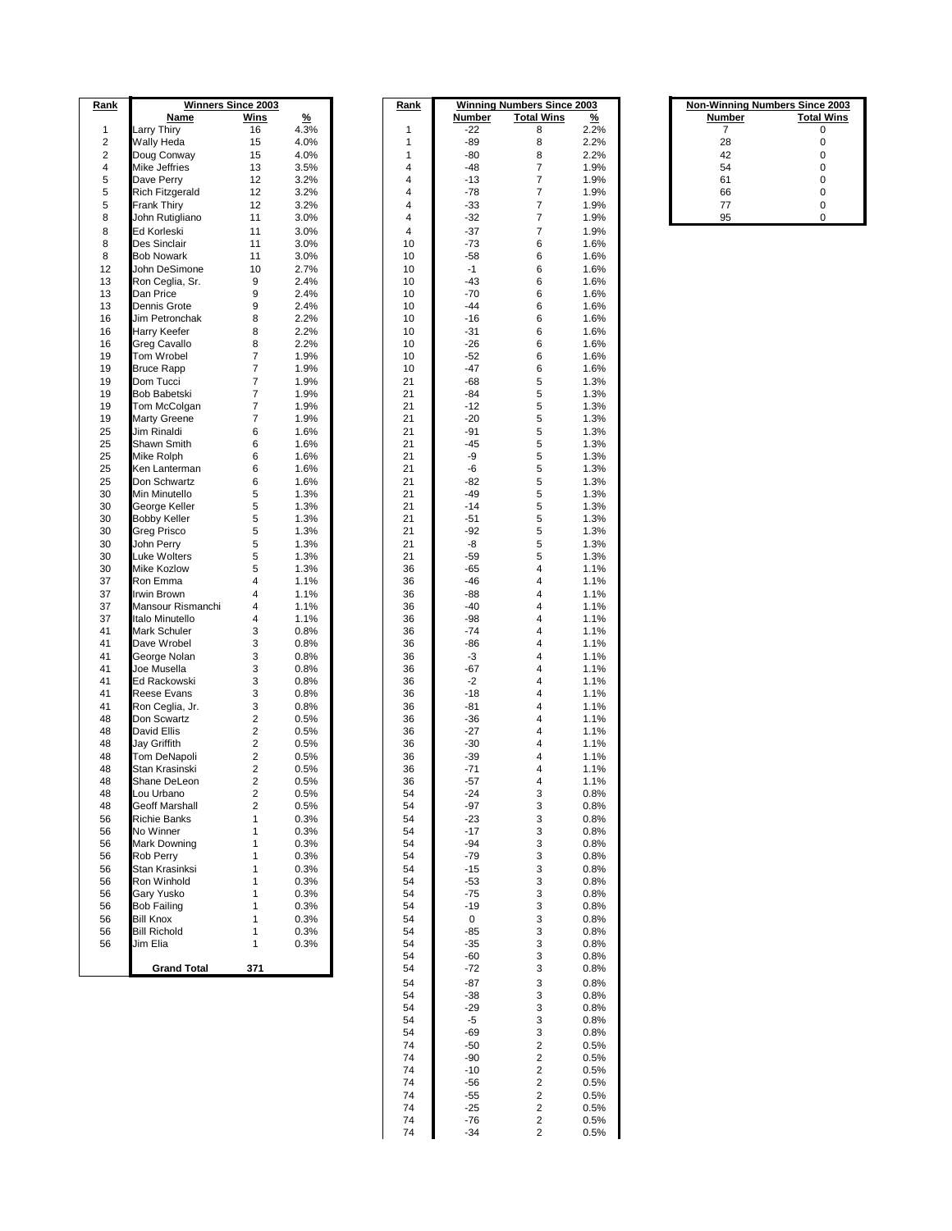| <u>Rank</u>             |                       | <b>Winners Since 2003</b> |          | <u>Rank</u> | <b>Winning Numbers Since 2003</b> |                   | <b>Non-Winning Numbers Since 2003</b> |               |                   |
|-------------------------|-----------------------|---------------------------|----------|-------------|-----------------------------------|-------------------|---------------------------------------|---------------|-------------------|
|                         | Name                  | <u>Wins</u>               | <u>%</u> |             | Number                            | <b>Total Wins</b> | $\frac{9}{6}$                         | <b>Number</b> | <b>Total Wins</b> |
| $\mathbf{1}$            | Larry Thiry           | 16                        | 4.3%     | 1           | -22                               | 8                 | 2.2%                                  | 7             | 0                 |
| $\overline{\mathbf{c}}$ | Wally Heda            | 15                        | 4.0%     | 1           | -89                               | 8                 | 2.2%                                  | 28            | 0                 |
| $\overline{\mathbf{c}}$ | Doug Conway           | 15                        | 4.0%     | 1           | $-80$                             | 8                 | 2.2%                                  | 42            | 0                 |
| 4                       | Mike Jeffries         | 13                        | 3.5%     | 4           | $-48$                             | 7                 | 1.9%                                  | 54            | 0                 |
| 5                       | Dave Perry            | 12                        | 3.2%     | 4           | -13                               | $\overline{7}$    | 1.9%                                  | 61            | 0                 |
| 5                       | Rich Fitzgerald       | 12                        | 3.2%     | 4           | $-78$                             | 7                 | 1.9%                                  | 66            | 0                 |
| 5                       | <b>Frank Thiry</b>    |                           |          |             |                                   |                   |                                       |               | 0                 |
|                         |                       | 12                        | 3.2%     | 4           | $-33$                             | 7                 | 1.9%                                  | 77            |                   |
| 8                       | John Rutigliano       | 11                        | 3.0%     | 4           | -32                               | $\overline{7}$    | 1.9%                                  | 95            | 0                 |
| 8                       | Ed Korleski           | 11                        | 3.0%     | 4           | $-37$                             | $\overline{7}$    | 1.9%                                  |               |                   |
| 8                       | Des Sinclair          | 11                        | 3.0%     | 10          | $-73$                             | 6                 | 1.6%                                  |               |                   |
| 8                       | <b>Bob Nowark</b>     | 11                        | 3.0%     | 10          | -58                               | 6                 | 1.6%                                  |               |                   |
| 12                      | John DeSimone         | 10                        | 2.7%     | 10          | $-1$                              | 6                 | 1.6%                                  |               |                   |
| 13                      | Ron Ceglia, Sr.       | 9                         | 2.4%     | 10          | $-43$                             | 6                 | 1.6%                                  |               |                   |
| 13                      | Dan Price             | 9                         | 2.4%     | 10          | $-70$                             | 6                 | 1.6%                                  |               |                   |
| 13                      | Dennis Grote          | 9                         | 2.4%     | 10          | $-44$                             | 6                 | 1.6%                                  |               |                   |
| 16                      |                       |                           |          | 10          |                                   |                   |                                       |               |                   |
|                         | Jim Petronchak        | 8                         | 2.2%     |             | $-16$                             | 6                 | 1.6%                                  |               |                   |
| 16                      | Harry Keefer          | 8                         | 2.2%     | 10          | $-31$                             | 6                 | 1.6%                                  |               |                   |
| 16                      | Greg Cavallo          | 8                         | 2.2%     | 10          | $-26$                             | 6                 | 1.6%                                  |               |                   |
| 19                      | Tom Wrobel            | $\overline{7}$            | 1.9%     | 10          | $-52$                             | 6                 | 1.6%                                  |               |                   |
| 19                      | <b>Bruce Rapp</b>     | $\overline{7}$            | 1.9%     | 10          | $-47$                             | 6                 | 1.6%                                  |               |                   |
| 19                      | Dom Tucci             | $\overline{7}$            | 1.9%     | 21          | $-68$                             | 5                 | 1.3%                                  |               |                   |
| 19                      | Bob Babetski          | $\overline{7}$            | 1.9%     | 21          | $-84$                             | 5                 | 1.3%                                  |               |                   |
| 19                      | Tom McColgan          | 7                         | 1.9%     | 21          | -12                               | 5                 | 1.3%                                  |               |                   |
| 19                      | Marty Greene          | 7                         | 1.9%     | 21          | $-20$                             | 5                 | 1.3%                                  |               |                   |
| 25                      | <b>Jim Rinaldi</b>    | 6                         | 1.6%     | 21          | -91                               | 5                 | 1.3%                                  |               |                   |
|                         |                       |                           |          |             |                                   | 5                 |                                       |               |                   |
| 25                      | Shawn Smith           | 6                         | 1.6%     | 21          | $-45$                             |                   | 1.3%                                  |               |                   |
| 25                      | Mike Rolph            | 6                         | 1.6%     | 21          | -9                                | 5                 | 1.3%                                  |               |                   |
| 25                      | Ken Lanterman         | 6                         | 1.6%     | 21          | -6                                | 5                 | 1.3%                                  |               |                   |
| 25                      | Don Schwartz          | 6                         | 1.6%     | 21          | -82                               | 5                 | 1.3%                                  |               |                   |
| 30                      | Min Minutello         | 5                         | 1.3%     | 21          | $-49$                             | 5                 | 1.3%                                  |               |                   |
| 30                      | George Keller         | 5                         | 1.3%     | 21          | $-14$                             | 5                 | 1.3%                                  |               |                   |
| 30                      | <b>Bobby Keller</b>   | 5                         | 1.3%     | 21          | -51                               | 5                 | 1.3%                                  |               |                   |
| 30                      | Greg Prisco           | 5                         | 1.3%     | 21          | $-92$                             | 5                 | 1.3%                                  |               |                   |
| 30                      | John Perry            | 5                         | 1.3%     | 21          | -8                                | 5                 | 1.3%                                  |               |                   |
| 30                      | Luke Wolters          | 5                         | 1.3%     | 21          | $-59$                             | 5                 | 1.3%                                  |               |                   |
| 30                      | Mike Kozlow           | 5                         | 1.3%     | 36          | -65                               | 4                 | 1.1%                                  |               |                   |
|                         |                       | 4                         |          |             |                                   |                   |                                       |               |                   |
| 37                      | Ron Emma              |                           | 1.1%     | 36          | $-46$                             | 4                 | 1.1%                                  |               |                   |
| 37                      | Irwin Brown           | 4                         | 1.1%     | 36          | $-88$                             | 4                 | 1.1%                                  |               |                   |
| 37                      | Mansour Rismanchi     | 4                         | 1.1%     | 36          | $-40$                             | 4                 | 1.1%                                  |               |                   |
| 37                      | Italo Minutello       | 4                         | 1.1%     | 36          | -98                               | 4                 | 1.1%                                  |               |                   |
| 41                      | Mark Schuler          | 3                         | 0.8%     | 36          | $-74$                             | 4                 | 1.1%                                  |               |                   |
| 41                      | Dave Wrobel           | 3                         | 0.8%     | 36          | -86                               | 4                 | 1.1%                                  |               |                   |
| 41                      | George Nolan          | 3                         | 0.8%     | 36          | -3                                | 4                 | 1.1%                                  |               |                   |
| 41                      | Joe Musella           | 3                         | 0.8%     | 36          | $-67$                             | 4                 | 1.1%                                  |               |                   |
| 41                      | Ed Rackowski          | 3                         | 0.8%     | 36          | $-2$                              | 4                 | 1.1%                                  |               |                   |
| 41                      | Reese Evans           | 3                         | 0.8%     | 36          | $-18$                             | 4                 | 1.1%                                  |               |                   |
| 41                      | Ron Ceglia, Jr.       | 3                         | 0.8%     | 36          | $-81$                             | 4                 |                                       |               |                   |
|                         |                       |                           |          |             |                                   |                   | 1.1%                                  |               |                   |
| 48                      | Don Scwartz           | $\sqrt{2}$                | 0.5%     | 36          | $-36$                             | 4                 | 1.1%                                  |               |                   |
| 48                      | David Ellis           | $\sqrt{2}$                | 0.5%     | 36          | $-27$                             | 4                 | 1.1%                                  |               |                   |
| 48                      | Jay Griffith          | $\sqrt{2}$                | 0.5%     | 36          | $-30$                             | 4                 | 1.1%                                  |               |                   |
| 48                      | Tom DeNapoli          | 2                         | 0.5%     | 36          | $-39$                             | 4                 | 1.1%                                  |               |                   |
| 48                      | Stan Krasinski        | 2                         | 0.5%     | 36          | $-71$                             | 4                 | 1.1%                                  |               |                   |
| 48                      | Shane DeLeon          | 2                         | 0.5%     | 36          | $-57$                             | 4                 | 1.1%                                  |               |                   |
| 48                      | Lou Urbano            | 2                         | 0.5%     | 54          | $-24$                             | 3                 | 0.8%                                  |               |                   |
| 48                      | <b>Geoff Marshall</b> | $\sqrt{2}$                | 0.5%     | 54          | $-97$                             | 3                 | 0.8%                                  |               |                   |
| 56                      | <b>Richie Banks</b>   | 1                         | 0.3%     | 54          | $-23$                             | 3                 | 0.8%                                  |               |                   |
|                         | No Winner             |                           |          |             | $-17$                             |                   |                                       |               |                   |
| 56                      |                       | 1                         | 0.3%     | 54          |                                   | 3                 | 0.8%                                  |               |                   |
| 56                      | Mark Downing          | 1                         | 0.3%     | 54          | $-94$                             | 3                 | 0.8%                                  |               |                   |
| 56                      | Rob Perry             | 1                         | 0.3%     | 54          | $-79$                             | 3                 | 0.8%                                  |               |                   |
| 56                      | Stan Krasinksi        | 1                         | 0.3%     | 54          | $-15$                             | 3                 | 0.8%                                  |               |                   |
| 56                      | Ron Winhold           | 1                         | 0.3%     | 54          | $-53$                             | 3                 | 0.8%                                  |               |                   |
| 56                      | Gary Yusko            | 1                         | 0.3%     | 54          | $-75$                             | 3                 | 0.8%                                  |               |                   |
| 56                      | <b>Bob Failing</b>    | 1                         | 0.3%     | 54          | $-19$                             | 3                 | 0.8%                                  |               |                   |
| 56                      | <b>Bill Knox</b>      | 1                         | 0.3%     | 54          | $\pmb{0}$                         | 3                 | 0.8%                                  |               |                   |
| 56                      | <b>Bill Richold</b>   | 1                         | 0.3%     | 54          | $-85$                             | 3                 | 0.8%                                  |               |                   |
| 56                      | Jim Elia              | $\mathbf{1}$              | 0.3%     | 54          | $-35$                             | 3                 | 0.8%                                  |               |                   |
|                         |                       |                           |          | 54          | $-60$                             | 3                 | 0.8%                                  |               |                   |
|                         |                       |                           |          |             |                                   |                   |                                       |               |                   |
|                         | <b>Grand Total</b>    | 371                       |          | 54          | $-72$                             | 3                 | 0.8%                                  |               |                   |
|                         |                       |                           |          | 54          | -87                               | 3                 | 0.8%                                  |               |                   |
|                         |                       |                           |          |             | 20                                |                   | 0.001                                 |               |                   |

| <u>Rank</u> | <u>Winning</u><br><u>Since</u><br>2 <u>003</u><br><b>Numbers</b><br><b>Total Wins</b><br>%<br><u>Number</u> |                |              |  |  |  |  |  |
|-------------|-------------------------------------------------------------------------------------------------------------|----------------|--------------|--|--|--|--|--|
| 1           | $-22$                                                                                                       | 8              | 2.2%         |  |  |  |  |  |
| 1           | $-89$                                                                                                       | 8              | 2.2%         |  |  |  |  |  |
| 1           | $-80$                                                                                                       | 8              | 2.2%         |  |  |  |  |  |
| 4           | $-48$                                                                                                       | 7              | 1.9%         |  |  |  |  |  |
| 4           | $-13$                                                                                                       | 7              | 1.9%         |  |  |  |  |  |
| 4           | -78                                                                                                         | 7              | 1.9%         |  |  |  |  |  |
| 4           | $-33$                                                                                                       | 7              | 1.9%         |  |  |  |  |  |
| 4           | $-32$                                                                                                       | 7              | 1.9%         |  |  |  |  |  |
| 4           | $-37$                                                                                                       | 7              | 1.9%         |  |  |  |  |  |
| 10          | -73                                                                                                         | 6              | 1.6%         |  |  |  |  |  |
| 10          | $-58$                                                                                                       | 6              | 1.6%         |  |  |  |  |  |
| 10<br>10    | $-1$<br>$-43$                                                                                               | 6<br>6         | 1.6%<br>1.6% |  |  |  |  |  |
| 10          | $-70$                                                                                                       | 6              | 1.6%         |  |  |  |  |  |
| 10          | $-44$                                                                                                       | 6              | 1.6%         |  |  |  |  |  |
| 10          | $-16$                                                                                                       | 6              | 1.6%         |  |  |  |  |  |
| 10          | $-31$                                                                                                       | 6              | 1.6%         |  |  |  |  |  |
| 10          | $-26$                                                                                                       | 6              | 1.6%         |  |  |  |  |  |
| 10          | $-52$                                                                                                       | 6              | 1.6%         |  |  |  |  |  |
| 10          | -47                                                                                                         | 6              | 1.6%         |  |  |  |  |  |
| 21          | $-68$                                                                                                       | 5              | 1.3%         |  |  |  |  |  |
| 21          | $-84$                                                                                                       | 5              | 1.3%         |  |  |  |  |  |
| 21          | -12                                                                                                         | 5              | 1.3%         |  |  |  |  |  |
| 21<br>21    | $-20$<br>$-91$                                                                                              | 5<br>5         | 1.3%<br>1.3% |  |  |  |  |  |
| 21          | -45                                                                                                         | 5              | 1.3%         |  |  |  |  |  |
| 21          | -9                                                                                                          | 5              | 1.3%         |  |  |  |  |  |
| 21          | -6                                                                                                          | 5              | 1.3%         |  |  |  |  |  |
| 21          | $-82$                                                                                                       | 5              | 1.3%         |  |  |  |  |  |
| 21          | $-49$                                                                                                       | 5              | 1.3%         |  |  |  |  |  |
| 21          | $-14$                                                                                                       | 5              | 1.3%         |  |  |  |  |  |
| 21          | $-51$                                                                                                       | 5              | 1.3%         |  |  |  |  |  |
| 21          | $-92$                                                                                                       | 5              | 1.3%         |  |  |  |  |  |
| 21          | -8                                                                                                          | 5              | 1.3%         |  |  |  |  |  |
| 21          | $-59$                                                                                                       | 5<br>4         | 1.3%         |  |  |  |  |  |
| 36<br>36    | $-65$<br>$-46$                                                                                              | 4              | 1.1%<br>1.1% |  |  |  |  |  |
| 36          | $-88$                                                                                                       | 4              | 1.1%         |  |  |  |  |  |
| 36          | $-40$                                                                                                       | 4              | 1.1%         |  |  |  |  |  |
| 36          | -98                                                                                                         | 4              | 1.1%         |  |  |  |  |  |
| 36          | -74                                                                                                         | 4              | 1.1%         |  |  |  |  |  |
| 36          | $-86$                                                                                                       | 4              | 1.1%         |  |  |  |  |  |
| 36          | -3                                                                                                          | 4              | 1.1%         |  |  |  |  |  |
| 36          | $-67$                                                                                                       | 4              | 1.1%         |  |  |  |  |  |
| 36          | -2                                                                                                          | 4              | 1.1%         |  |  |  |  |  |
| 36          | $-18$                                                                                                       | 4              | 1.1%         |  |  |  |  |  |
| 36          | -81                                                                                                         | 4              | 1.1%         |  |  |  |  |  |
| 36<br>36    | $-36$<br>$-27$                                                                                              | 4<br>4         | 1.1%<br>1.1% |  |  |  |  |  |
| 36          | $-30$                                                                                                       | 4              | 1.1%         |  |  |  |  |  |
| 36          | $-39$                                                                                                       | 4              | 1.1%         |  |  |  |  |  |
| 36          | $-71$                                                                                                       | 4              | 1.1%         |  |  |  |  |  |
| 36          | -57                                                                                                         | 4              | 1.1%         |  |  |  |  |  |
| 54          | $-24$                                                                                                       | 3              | 0.8%         |  |  |  |  |  |
| 54          | $-97$                                                                                                       | 3              | 0.8%         |  |  |  |  |  |
| 54          | -23                                                                                                         | 3              | 0.8%         |  |  |  |  |  |
| 54          | $-17$                                                                                                       | 3              | 0.8%         |  |  |  |  |  |
| 54<br>54    | $-94$<br>-79                                                                                                | 3<br>3         | 0.8%         |  |  |  |  |  |
| 54          | $-15$                                                                                                       | 3              | 0.8%<br>0.8% |  |  |  |  |  |
| 54          | $-53$                                                                                                       | 3              | 0.8%         |  |  |  |  |  |
| 54          | $-75$                                                                                                       | 3              | 0.8%         |  |  |  |  |  |
| 54          | $-19$                                                                                                       | 3              | 0.8%         |  |  |  |  |  |
| 54          | 0                                                                                                           | 3              | 0.8%         |  |  |  |  |  |
| 54          | $-85$                                                                                                       | 3              | 0.8%         |  |  |  |  |  |
| 54          | $-35$                                                                                                       | 3              | 0.8%         |  |  |  |  |  |
| 54          | $-60$                                                                                                       | 3              | $0.8\%$      |  |  |  |  |  |
| 54          | -72                                                                                                         | 3              | 0.8%         |  |  |  |  |  |
| 54          | -87                                                                                                         | 3              | 0.8%         |  |  |  |  |  |
| 54          | $-38$                                                                                                       | 3              | 0.8%         |  |  |  |  |  |
| 54          | $-29$                                                                                                       | 3              | $0.8\%$      |  |  |  |  |  |
| 54<br>54    | -5<br>$-69$                                                                                                 | 3<br>3         | 0.8%<br>0.8% |  |  |  |  |  |
| 74          | $-50$                                                                                                       | 2              | 0.5%         |  |  |  |  |  |
| 74          | $-90$                                                                                                       | 2              | 0.5%         |  |  |  |  |  |
| 74          | $-10$                                                                                                       | $\overline{2}$ | 0.5%         |  |  |  |  |  |
| 74          | $-56$                                                                                                       | 2              | 0.5%         |  |  |  |  |  |
| 74          | $-55$                                                                                                       | 2              | 0.5%         |  |  |  |  |  |
| 74          | $-25$                                                                                                       | $\overline{2}$ | 0.5%         |  |  |  |  |  |
| 74          | -76                                                                                                         | 2              | 0.5%         |  |  |  |  |  |
| 74          | $-34$                                                                                                       | $\overline{2}$ | 0.5%         |  |  |  |  |  |

| <b>Non-Winning Numbers Since 2003</b> |                   |  |  |
|---------------------------------------|-------------------|--|--|
| <b>Number</b>                         | <b>Total Wins</b> |  |  |
|                                       | 0                 |  |  |
| 28                                    | 0                 |  |  |
| 42                                    | 0                 |  |  |
| 54                                    | 0                 |  |  |
| 61                                    | 0                 |  |  |
| 66                                    | 0                 |  |  |
| 77                                    | 0                 |  |  |
| <b>OF</b>                             | $\Omega$          |  |  |